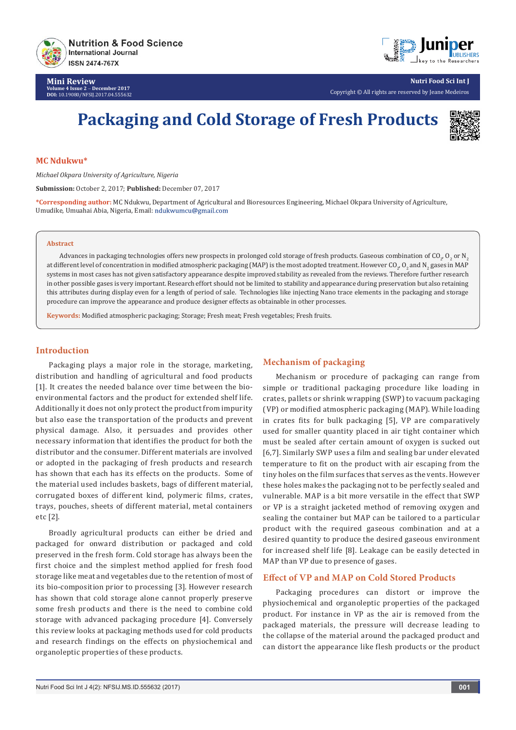

**Mini Review Volume 4 Issue 2** - **December 2017 DOI:** [10.19080/NFSIJ.2017.04.555632](http://dx.doi.org/10.19080/NFSIJ.2017.04.555632)



**Nutri Food Sci Int J** Copyright © All rights are reserved by Jeane Medeiros

# **Packaging and Cold Storage of Fresh Products**



#### **MC Ndukwu\***

*Michael Okpara University of Agriculture, Nigeria*

**Submission:** October 2, 2017; **Published:** December 07, 2017

**\*Corresponding author:** MC Ndukwu, Department of Agricultural and Bioresources Engineering, Michael Okpara University of Agriculture, Umudike, Umuahai Abia, Nigeria, Email:

#### **Abstract**

Advances in packaging technologies offers new prospects in prolonged cold storage of fresh products. Gaseous combination of CO<sub>2</sub>, O<sub>2</sub> or N<sub>2</sub> at different level of concentration in modified atmospheric packaging (MAP) is the most adopted treatment. However CO $_{2^\prime}$ O $_{2}$  and N $_{2}$  gases in MAP systems in most cases has not given satisfactory appearance despite improved stability as revealed from the reviews. Therefore further research in other possible gases is very important. Research effort should not be limited to stability and appearance during preservation but also retaining this attributes during display even for a length of period of sale. Technologies like injecting Nano trace elements in the packaging and storage procedure can improve the appearance and produce designer effects as obtainable in other processes.

**Keywords:** Modified atmospheric packaging; Storage; Fresh meat; Fresh vegetables; Fresh fruits.

## **Introduction**

Packaging plays a major role in the storage, marketing, distribution and handling of agricultural and food products [1]. It creates the needed balance over time between the bioenvironmental factors and the product for extended shelf life. Additionally it does not only protect the product from impurity but also ease the transportation of the products and prevent physical damage. Also, it persuades and provides other necessary information that identifies the product for both the distributor and the consumer. Different materials are involved or adopted in the packaging of fresh products and research has shown that each has its effects on the products. Some of the material used includes baskets, bags of different material, corrugated boxes of different kind, polymeric films, crates, trays, pouches, sheets of different material, metal containers etc [2].

Broadly agricultural products can either be dried and packaged for onward distribution or packaged and cold preserved in the fresh form. Cold storage has always been the first choice and the simplest method applied for fresh food storage like meat and vegetables due to the retention of most of its bio-composition prior to processing [3]. However research has shown that cold storage alone cannot properly preserve some fresh products and there is the need to combine cold storage with advanced packaging procedure [4]. Conversely this review looks at packaging methods used for cold products and research findings on the effects on physiochemical and organoleptic properties of these products.

## **Mechanism of packaging**

Mechanism or procedure of packaging can range from simple or traditional packaging procedure like loading in crates, pallets or shrink wrapping (SWP) to vacuum packaging (VP) or modified atmospheric packaging (MAP). While loading in crates fits for bulk packaging [5], VP are comparatively used for smaller quantity placed in air tight container which must be sealed after certain amount of oxygen is sucked out [6,7]. Similarly SWP uses a film and sealing bar under elevated temperature to fit on the product with air escaping from the tiny holes on the film surfaces that serves as the vents. However these holes makes the packaging not to be perfectly sealed and vulnerable. MAP is a bit more versatile in the effect that SWP or VP is a straight jacketed method of removing oxygen and sealing the container but MAP can be tailored to a particular product with the required gaseous combination and at a desired quantity to produce the desired gaseous environment for increased shelf life [8]. Leakage can be easily detected in MAP than VP due to presence of gases.

#### **Effect of VP and MAP on Cold Stored Products**

Packaging procedures can distort or improve the physiochemical and organoleptic properties of the packaged product. For instance in VP as the air is removed from the packaged materials, the pressure will decrease leading to the collapse of the material around the packaged product and can distort the appearance like flesh products or the product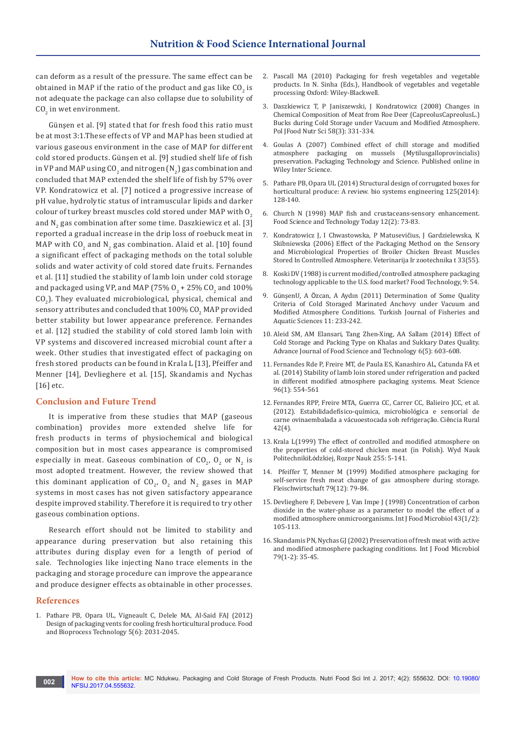can deform as a result of the pressure. The same effect can be obtained in MAP if the ratio of the product and gas like CO<sub>2</sub> is not adequate the package can also collapse due to solubility of  $CO<sub>2</sub>$  in wet environment.

Günşen et al. [9] stated that for fresh food this ratio must be at most 3:1.These effects of VP and MAP has been studied at various gaseous environment in the case of MAP for different cold stored products. Günşen et al. [9] studied shelf life of fish in VP and MAP using CO<sub>2</sub> and nitrogen (N<sub>2</sub>) gas combination and concluded that MAP extended the shelf life of fish by 57% over VP. Kondratowicz et al. [7] noticed a progressive increase of pH value, hydrolytic status of intramuscular lipids and darker colour of turkey breast muscles cold stored under MAP with O<sub>2</sub> and N<sub>2</sub> gas combination after some time. Daszkiewicz et al. [3] reported a gradual increase in the drip loss of roebuck meat in MAP with  $CO_2$  and  $N_2$  gas combination. Alaid et al. [10] found a significant effect of packaging methods on the total soluble solids and water activity of cold stored date fruits. Fernandes et al. [11] studied the stability of lamb loin under cold storage and packaged using VP, and MAP (75%  $O_2$  + 25% C $O_2$  and 100%  $CO<sub>2</sub>$ ). They evaluated microbiological, physical, chemical and sensory attributes and concluded that  $100\%$  CO $_2$  MAP provided better stability but lower appearance preference. Fernandes et al. [12] studied the stability of cold stored lamb loin with VP systems and discovered increased microbial count after a week. Other studies that investigated effect of packaging on fresh stored products can be found in Krala L [13], Pfeiffer and Menner [14], Devlieghere et al. [15], Skandamis and Nychas [16] etc.

#### **Conclusion and Future Trend**

It is imperative from these studies that MAP (gaseous combination) provides more extended shelve life for fresh products in terms of physiochemical and biological composition but in most cases appearance is compromised especially in meat. Gaseous combination of  $CO_{2'}$ ,  $O_2$  or  $N_2$  is most adopted treatment. However, the review showed that this dominant application of  $CO_{2}$ ,  $O_{2}$  and  $N_{2}$  gases in MAP systems in most cases has not given satisfactory appearance despite improved stability. Therefore it is required to try other gaseous combination options.

Research effort should not be limited to stability and appearance during preservation but also retaining this attributes during display even for a length of period of sale. Technologies like injecting Nano trace elements in the packaging and storage procedure can improve the appearance and produce designer effects as obtainable in other processes.

#### **References**

1. [Pathare PB, Opara UL, Vigneault C, Delele MA, Al-Said FAJ \(2012\)](https://link.springer.com/article/10.1007/s11947-012-0883-9)  [Design of packaging vents for cooling fresh horticultural produce. Food](https://link.springer.com/article/10.1007/s11947-012-0883-9)  [and Bioprocess Technology 5\(6\): 2031-2045.](https://link.springer.com/article/10.1007/s11947-012-0883-9)

- 2. [Pascall MA \(2010\) Packaging for fresh vegetables and vegetable](http://onlinelibrary.wiley.com/doi/10.1002/9780470958346.ch20/summary)  [products. In N. Sinha \(Eds.\), Handbook of vegetables and vegetable](http://onlinelibrary.wiley.com/doi/10.1002/9780470958346.ch20/summary)  [processing Oxford: Wiley-Blackwell.](http://onlinelibrary.wiley.com/doi/10.1002/9780470958346.ch20/summary)
- 3. [Daszkiewicz T, P Janiszewski, J Kondratowicz \(2008\) Changes in](http://agris.fao.org/agris-search/search.do?recordID=PL2009000144)  [Chemical Composition of Meat from Roe Deer \(CapreolusCapreolusL.\)](http://agris.fao.org/agris-search/search.do?recordID=PL2009000144)  [Bucks during Cold Storage under Vacuum and Modified Atmosphere.](http://agris.fao.org/agris-search/search.do?recordID=PL2009000144)  [Pol JFood Nutr Sci 58\(3\): 331-334.](http://agris.fao.org/agris-search/search.do?recordID=PL2009000144)
- 4. [Goulas A \(2007\) Combined effect of chill storage and modified](http://onlinelibrary.wiley.com/doi/10.1002/pts.793/abstract)  [atmosphere packaging on mussels \(Mytilusgalloprovincialis\)](http://onlinelibrary.wiley.com/doi/10.1002/pts.793/abstract)  [preservation. Packaging Technology and Science. Published online in](http://onlinelibrary.wiley.com/doi/10.1002/pts.793/abstract)  [Wiley Inter Science.](http://onlinelibrary.wiley.com/doi/10.1002/pts.793/abstract)
- 5. [Pathare PB, Opara UL \(2014\) Structural design of corrugated boxes for](http://www.academia.edu/24294319/Structural_design_of_corrugated_boxes_for_horticultural_produce_A_review)  [horticultural produce: A review. bio systems engineering 125\(2014\):](http://www.academia.edu/24294319/Structural_design_of_corrugated_boxes_for_horticultural_produce_A_review)  [128-140.](http://www.academia.edu/24294319/Structural_design_of_corrugated_boxes_for_horticultural_produce_A_review)
- 6. Church N (1998) MAP fish and crustaceans-sensory enhancement. Food Science and Technology Today 12(2): 73-83.
- 7. Kondratowicz J, I Chwastowska, P Matusevičius, J Gardzielewska, K Skibniewska (2006) Effect of the Packaging Method on the Sensory and Microbiological Properties of Broiler Chicken Breast Muscles Stored In Controlled Atmosphere. Veterinarija Ir zootechnika t 33(55).
- 8. Koski DV (1988) is current modified/controlled atmosphere packaging technology applicable to the U.S. food market? Food Technology, 9: 54.
- 9. GünşenU, A Ö[zcan, A Aydın \(2011\) Determination of Some Quality](http://www.trjfas.org/uploads/pdf_568.pdf)  [Criteria of Cold Storaged Marinated Anchovy under Vacuum and](http://www.trjfas.org/uploads/pdf_568.pdf)  [Modified Atmosphere Conditions. Turkish Journal of Fisheries and](http://www.trjfas.org/uploads/pdf_568.pdf)  [Aquatic Sciences 11: 233-242.](http://www.trjfas.org/uploads/pdf_568.pdf)
- 10. [Aleid SM, AM Elansari, Tang Zhen-Xing, AA Sallam \(2014\) Effect of](http://www.maxwellsci.com/jp/abstract.php?jid=AJFST&no=439&abs=08)  [Cold Storage and Packing Type on Khalas and Sukkary Dates Quality.](http://www.maxwellsci.com/jp/abstract.php?jid=AJFST&no=439&abs=08)  [Advance Journal of Food Science and Technology 6\(5\): 603-608.](http://www.maxwellsci.com/jp/abstract.php?jid=AJFST&no=439&abs=08)
- 11. [Fernandes Rde P, Freire MT, de Paula ES, Kanashiro AL, Catunda FA et](https://www.ncbi.nlm.nih.gov/pubmed/24018275)  [al. \(2014\) Stability of lamb loin stored under refrigeration and packed](https://www.ncbi.nlm.nih.gov/pubmed/24018275)  [in different modified atmosphere packaging systems. Meat Science](https://www.ncbi.nlm.nih.gov/pubmed/24018275)  [96\(1\): 554-561](https://www.ncbi.nlm.nih.gov/pubmed/24018275)
- 12. [Fernandes RPP, Freire MTA, Guerra CC, Carrer CC, Balieiro JCC, et al.](http://www.scielo.br/scielo.php?script=sci_arttext&pid=S0103-84782012000400025)  [\(2012\). Estabilidadefísico-química, microbiológica e sensorial de](http://www.scielo.br/scielo.php?script=sci_arttext&pid=S0103-84782012000400025)  [carne ovinaembalada a vácuoestocada sob refrigeraç](http://www.scielo.br/scielo.php?script=sci_arttext&pid=S0103-84782012000400025)ão. Ciência Rural [42\(4\).](http://www.scielo.br/scielo.php?script=sci_arttext&pid=S0103-84782012000400025)
- 13. Krala L(1999) The effect of controlled and modified atmosphere on the properties of cold-stored chicken meat (in Polish). Wyd Nauk PolitechnikiŁódzkiej, Rozpr Nauk 255: 5-141.
- 14. Pfeiffer T, Menner M (1999) Modified atmosphere packaging for self-service fresh meat change of gas atmosphere during storage. Fleischwirtschaft 79(12): 79-84.
- 15. [Devlieghere F, Debevere J, Van Impe J \(1998\) Concentration of carbon](https://www.ncbi.nlm.nih.gov/pubmed/9761344)  [dioxide in the water-phase as a parameter to model the effect of a](https://www.ncbi.nlm.nih.gov/pubmed/9761344)  [modified atmosphere onmicroorganisms. Int J Food Microbiol 43\(1/2\):](https://www.ncbi.nlm.nih.gov/pubmed/9761344)  [105-113.](https://www.ncbi.nlm.nih.gov/pubmed/9761344)
- 16. [Skandamis PN, Nychas GJ \(2002\) Preservation of fresh meat with active](https://www.ncbi.nlm.nih.gov/pubmed/12382683)  [and modified atmosphere packaging conditions. Int J Food Microbiol](https://www.ncbi.nlm.nih.gov/pubmed/12382683)  [79\(1-2\): 35-45.](https://www.ncbi.nlm.nih.gov/pubmed/12382683)